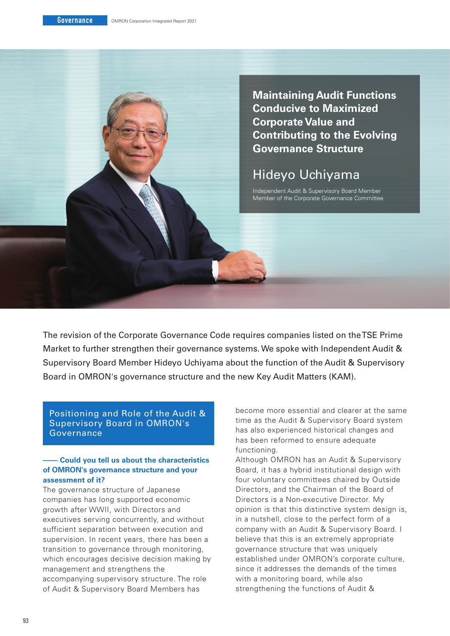**Maintaining Audit Functions Conducive to Maximized Corporate Value and Contributing to the Evolving Governance Structure**

# Hideyo Uchiyama

Independent Audit & Supervisory Board Member Member of the Corporate Governance Committee

The revision of the Corporate Governance Code requires companies listed on the TSE Prime Market to further strengthen their governance systems. We spoke with Independent Audit & Supervisory Board Member Hideyo Uchiyama about the function of the Audit & Supervisory Board in OMRON's governance structure and the new Key Audit Matters (KAM).

Positioning and Role of the Audit & Supervisory Board in OMRON's Governance

# **– Could you tell us about the characteristics of OMRON's governance structure and your assessment of it?**

The governance structure of Japanese companies has long supported economic growth after WWII, with Directors and executives serving concurrently, and without sufficient separation between execution and supervision. In recent years, there has been a transition to governance through monitoring, which encourages decisive decision making by management and strengthens the accompanying supervisory structure. The role of Audit & Supervisory Board Members has

become more essential and clearer at the same time as the Audit & Supervisory Board system has also experienced historical changes and has been reformed to ensure adequate functioning.

Although OMRON has an Audit & Supervisory Board, it has a hybrid institutional design with four voluntary committees chaired by Outside Directors, and the Chairman of the Board of Directors is a Non-executive Director. My opinion is that this distinctive system design is, in a nutshell, close to the perfect form of a company with an Audit & Supervisory Board. I believe that this is an extremely appropriate governance structure that was uniquely established under OMRON's corporate culture, since it addresses the demands of the times with a monitoring board, while also strengthening the functions of Audit &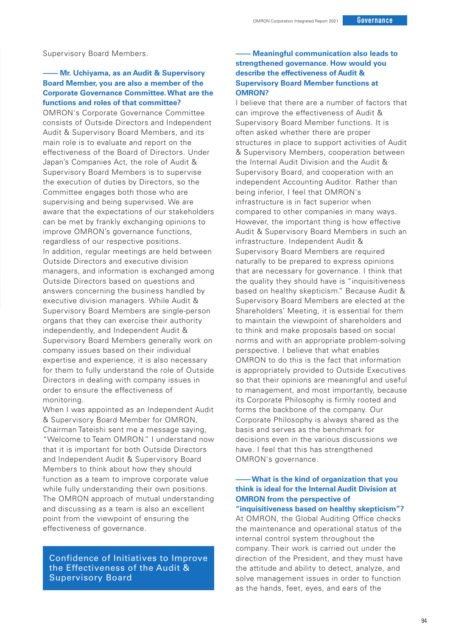Supervisory Board Members.

## **– Mr. Uchiyama, as an Audit & Supervisory Board Member, you are also a member of the Corporate Governance Committee. What are the functions and roles of that committee?**

OMRON's Corporate Governance Committee consists of Outside Directors and Independent Audit & Supervisory Board Members, and its main role is to evaluate and report on the effectiveness of the Board of Directors. Under Japan's Companies Act, the role of Audit & Supervisory Board Members is to supervise the execution of duties by Directors, so the Committee engages both those who are supervising and being supervised. We are aware that the expectations of our stakeholders can be met by frankly exchanging opinions to improve OMRON's governance functions, regardless of our respective positions. In addition, regular meetings are held between Outside Directors and executive division managers, and information is exchanged among Outside Directors based on questions and answers concerning the business handled by executive division managers. While Audit & Supervisory Board Members are single-person organs that they can exercise their authority independently, and Independent Audit & Supervisory Board Members generally work on company issues based on their individual expertise and experience, it is also necessary for them to fully understand the role of Outside Directors in dealing with company issues in order to ensure the effectiveness of monitoring.

When I was appointed as an Independent Audit & Supervisory Board Member for OMRON, Chairman Tateishi sent me a message saying, "Welcome to Team OMRON." I understand now that it is important for both Outside Directors and Independent Audit & Supervisory Board Members to think about how they should function as a team to improve corporate value while fully understanding their own positions. The OMRON approach of mutual understanding and discussing as a team is also an excellent point from the viewpoint of ensuring the effectiveness of governance.

Confidence of Initiatives to Improve the Effectiveness of the Audit & Supervisory Board

# **– Meaningful communication also leads to strengthened governance. How would you describe the effectiveness of Audit & Supervisory Board Member functions at OMRON?**

I believe that there are a number of factors that can improve the effectiveness of Audit & Supervisory Board Member functions. It is often asked whether there are proper structures in place to support activities of Audit & Supervisory Members, cooperation between the Internal Audit Division and the Audit & Supervisory Board, and cooperation with an independent Accounting Auditor. Rather than being inferior, I feel that OMRON's infrastructure is in fact superior when compared to other companies in many ways. However, the important thing is how effective Audit & Supervisory Board Members in such an infrastructure. Independent Audit & Supervisory Board Members are required naturally to be prepared to express opinions that are necessary for governance. I think that the quality they should have is "inquisitiveness based on healthy skepticism." Because Audit & Supervisory Board Members are elected at the Shareholders' Meeting, it is essential for them to maintain the viewpoint of shareholders and to think and make proposals based on social norms and with an appropriate problem-solving perspective. I believe that what enables OMRON to do this is the fact that information is appropriately provided to Outside Executives so that their opinions are meaningful and useful to management, and most importantly, because its Corporate Philosophy is firmly rooted and forms the backbone of the company. Our Corporate Philosophy is always shared as the basis and serves as the benchmark for decisions even in the various discussions we have. I feel that this has strengthened OMRON's governance.

### **– What is the kind of organization that you think is ideal for the Internal Audit Division at OMRON from the perspective of "inquisitiveness based on healthy skepticism"?**

At OMRON, the Global Auditing Office checks the maintenance and operational status of the internal control system throughout the company. Their work is carried out under the direction of the President, and they must have the attitude and ability to detect, analyze, and solve management issues in order to function as the hands, feet, eyes, and ears of the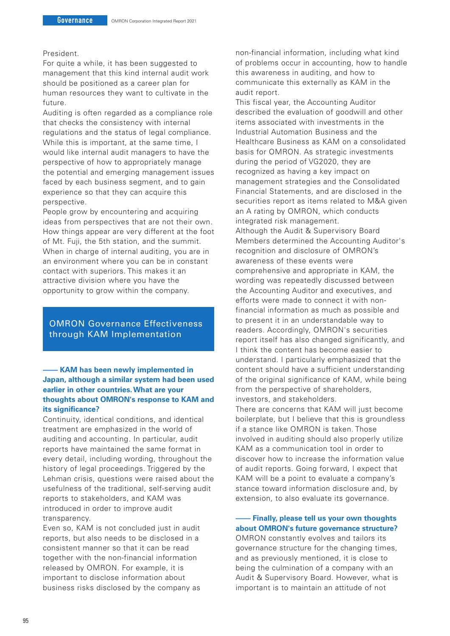### President.

For quite a while, it has been suggested to management that this kind internal audit work should be positioned as a career plan for human resources they want to cultivate in the future.

Auditing is often regarded as a compliance role that checks the consistency with internal regulations and the status of legal compliance. While this is important, at the same time, I would like internal audit managers to have the perspective of how to appropriately manage the potential and emerging management issues faced by each business segment, and to gain experience so that they can acquire this perspective.

People grow by encountering and acquiring ideas from perspectives that are not their own. How things appear are very different at the foot of Mt. Fuji, the 5th station, and the summit. When in charge of internal auditing, you are in an environment where you can be in constant contact with superiors. This makes it an attractive division where you have the opportunity to grow within the company.

OMRON Governance Effectiveness through KAM Implementation

## **– KAM has been newly implemented in Japan, although a similar system had been used earlier in other countries. What are your thoughts about OMRON's response to KAM and its significance?**

Continuity, identical conditions, and identical treatment are emphasized in the world of auditing and accounting. In particular, audit reports have maintained the same format in every detail, including wording, throughout the history of legal proceedings. Triggered by the Lehman crisis, questions were raised about the usefulness of the traditional, self-serving audit reports to stakeholders, and KAM was introduced in order to improve audit transparency.

Even so, KAM is not concluded just in audit reports, but also needs to be disclosed in a consistent manner so that it can be read together with the non-financial information released by OMRON. For example, it is important to disclose information about business risks disclosed by the company as

non-financial information, including what kind of problems occur in accounting, how to handle this awareness in auditing, and how to communicate this externally as KAM in the audit report.

This fiscal year, the Accounting Auditor described the evaluation of goodwill and other items associated with investments in the Industrial Automation Business and the Healthcare Business as KAM on a consolidated basis for OMRON. As strategic investments during the period of VG2020, they are recognized as having a key impact on management strategies and the Consolidated Financial Statements, and are disclosed in the securities report as items related to M&A given an A rating by OMRON, which conducts integrated risk management.

Although the Audit & Supervisory Board Members determined the Accounting Auditor's recognition and disclosure of OMRON's awareness of these events were comprehensive and appropriate in KAM, the wording was repeatedly discussed between the Accounting Auditor and executives, and efforts were made to connect it with nonfinancial information as much as possible and to present it in an understandable way to readers. Accordingly, OMRON's securities report itself has also changed significantly, and I think the content has become easier to understand. I particularly emphasized that the content should have a sufficient understanding of the original significance of KAM, while being from the perspective of shareholders, investors, and stakeholders.

There are concerns that KAM will just become boilerplate, but I believe that this is groundless if a stance like OMRON is taken. Those involved in auditing should also properly utilize KAM as a communication tool in order to discover how to increase the information value of audit reports. Going forward, I expect that KAM will be a point to evaluate a company's stance toward information disclosure and, by extension, to also evaluate its governance.

**– Finally, please tell us your own thoughts about OMRON's future governance structure?** OMRON constantly evolves and tailors its governance structure for the changing times, and as previously mentioned, it is close to being the culmination of a company with an Audit & Supervisory Board. However, what is important is to maintain an attitude of not